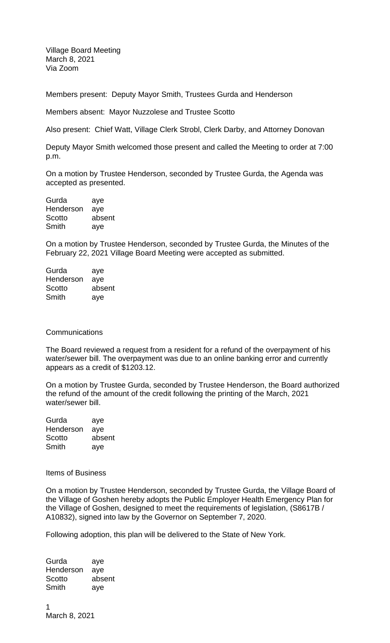Village Board Meeting March 8, 2021 Via Zoom

Members present: Deputy Mayor Smith, Trustees Gurda and Henderson

Members absent: Mayor Nuzzolese and Trustee Scotto

Also present: Chief Watt, Village Clerk Strobl, Clerk Darby, and Attorney Donovan

Deputy Mayor Smith welcomed those present and called the Meeting to order at 7:00 p.m.

On a motion by Trustee Henderson, seconded by Trustee Gurda, the Agenda was accepted as presented.

| Gurda     | aye    |
|-----------|--------|
| Henderson | aye    |
| Scotto    | absent |
| Smith     | aye    |

On a motion by Trustee Henderson, seconded by Trustee Gurda, the Minutes of the February 22, 2021 Village Board Meeting were accepted as submitted.

| aye    |
|--------|
| aye    |
| absent |
| ave    |
|        |

## **Communications**

The Board reviewed a request from a resident for a refund of the overpayment of his water/sewer bill. The overpayment was due to an online banking error and currently appears as a credit of \$1203.12.

On a motion by Trustee Gurda, seconded by Trustee Henderson, the Board authorized the refund of the amount of the credit following the printing of the March, 2021 water/sewer bill.

| Gurda     | aye    |
|-----------|--------|
| Henderson | aye    |
| Scotto    | absent |
| Smith     | aye    |

Items of Business

On a motion by Trustee Henderson, seconded by Trustee Gurda, the Village Board of the Village of Goshen hereby adopts the Public Employer Health Emergency Plan for the Village of Goshen, designed to meet the requirements of legislation, (S8617B / A10832), signed into law by the Governor on September 7, 2020.

Following adoption, this plan will be delivered to the State of New York.

Gurda aye Henderson aye Scotto absent Smith aye